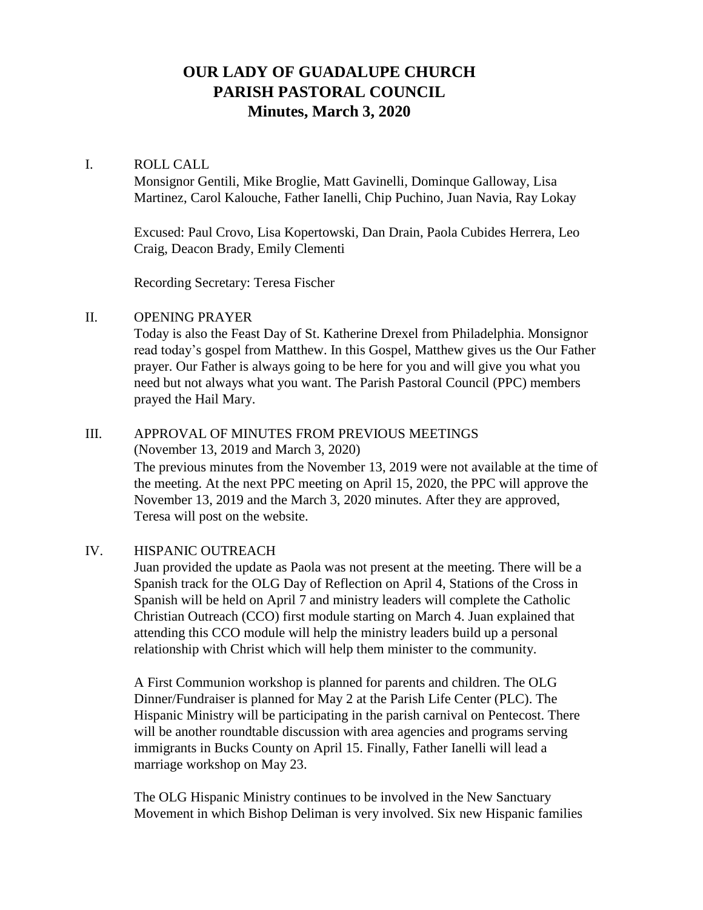# **OUR LADY OF GUADALUPE CHURCH PARISH PASTORAL COUNCIL Minutes, March 3, 2020**

# I. ROLL CALL

Monsignor Gentili, Mike Broglie, Matt Gavinelli, Dominque Galloway, Lisa Martinez, Carol Kalouche, Father Ianelli, Chip Puchino, Juan Navia, Ray Lokay

Excused: Paul Crovo, Lisa Kopertowski, Dan Drain, Paola Cubides Herrera, Leo Craig, Deacon Brady, Emily Clementi

Recording Secretary: Teresa Fischer

### II. OPENING PRAYER

Today is also the Feast Day of St. Katherine Drexel from Philadelphia. Monsignor read today's gospel from Matthew. In this Gospel, Matthew gives us the Our Father prayer. Our Father is always going to be here for you and will give you what you need but not always what you want. The Parish Pastoral Council (PPC) members prayed the Hail Mary.

### III. APPROVAL OF MINUTES FROM PREVIOUS MEETINGS (November 13, 2019 and March 3, 2020)

The previous minutes from the November 13, 2019 were not available at the time of the meeting. At the next PPC meeting on April 15, 2020, the PPC will approve the November 13, 2019 and the March 3, 2020 minutes. After they are approved, Teresa will post on the website.

### IV. HISPANIC OUTREACH

Juan provided the update as Paola was not present at the meeting. There will be a Spanish track for the OLG Day of Reflection on April 4, Stations of the Cross in Spanish will be held on April 7 and ministry leaders will complete the Catholic Christian Outreach (CCO) first module starting on March 4. Juan explained that attending this CCO module will help the ministry leaders build up a personal relationship with Christ which will help them minister to the community.

A First Communion workshop is planned for parents and children. The OLG Dinner/Fundraiser is planned for May 2 at the Parish Life Center (PLC). The Hispanic Ministry will be participating in the parish carnival on Pentecost. There will be another roundtable discussion with area agencies and programs serving immigrants in Bucks County on April 15. Finally, Father Ianelli will lead a marriage workshop on May 23.

The OLG Hispanic Ministry continues to be involved in the New Sanctuary Movement in which Bishop Deliman is very involved. Six new Hispanic families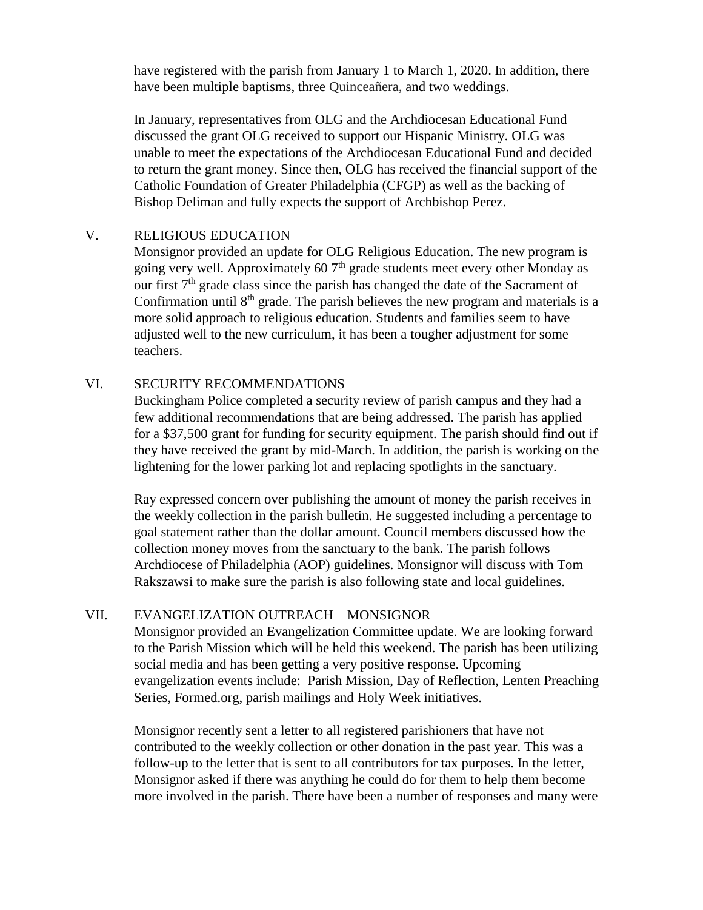have registered with the parish from January 1 to March 1, 2020. In addition, there have been multiple baptisms, three Quinceañera, and two weddings.

In January, representatives from OLG and the Archdiocesan Educational Fund discussed the grant OLG received to support our Hispanic Ministry. OLG was unable to meet the expectations of the Archdiocesan Educational Fund and decided to return the grant money. Since then, OLG has received the financial support of the Catholic Foundation of Greater Philadelphia (CFGP) as well as the backing of Bishop Deliman and fully expects the support of Archbishop Perez.

### V. RELIGIOUS EDUCATION

Monsignor provided an update for OLG Religious Education. The new program is going very well. Approximately 60  $7<sup>th</sup>$  grade students meet every other Monday as our first  $7<sup>th</sup>$  grade class since the parish has changed the date of the Sacrament of Confirmation until  $8<sup>th</sup>$  grade. The parish believes the new program and materials is a more solid approach to religious education. Students and families seem to have adjusted well to the new curriculum, it has been a tougher adjustment for some teachers.

#### VI. SECURITY RECOMMENDATIONS

Buckingham Police completed a security review of parish campus and they had a few additional recommendations that are being addressed. The parish has applied for a \$37,500 grant for funding for security equipment. The parish should find out if they have received the grant by mid-March. In addition, the parish is working on the lightening for the lower parking lot and replacing spotlights in the sanctuary.

Ray expressed concern over publishing the amount of money the parish receives in the weekly collection in the parish bulletin. He suggested including a percentage to goal statement rather than the dollar amount. Council members discussed how the collection money moves from the sanctuary to the bank. The parish follows Archdiocese of Philadelphia (AOP) guidelines. Monsignor will discuss with Tom Rakszawsi to make sure the parish is also following state and local guidelines.

# VII. EVANGELIZATION OUTREACH – MONSIGNOR

Monsignor provided an Evangelization Committee update. We are looking forward to the Parish Mission which will be held this weekend. The parish has been utilizing social media and has been getting a very positive response. Upcoming evangelization events include: Parish Mission, Day of Reflection, Lenten Preaching Series, Formed.org, parish mailings and Holy Week initiatives.

Monsignor recently sent a letter to all registered parishioners that have not contributed to the weekly collection or other donation in the past year. This was a follow-up to the letter that is sent to all contributors for tax purposes. In the letter, Monsignor asked if there was anything he could do for them to help them become more involved in the parish. There have been a number of responses and many were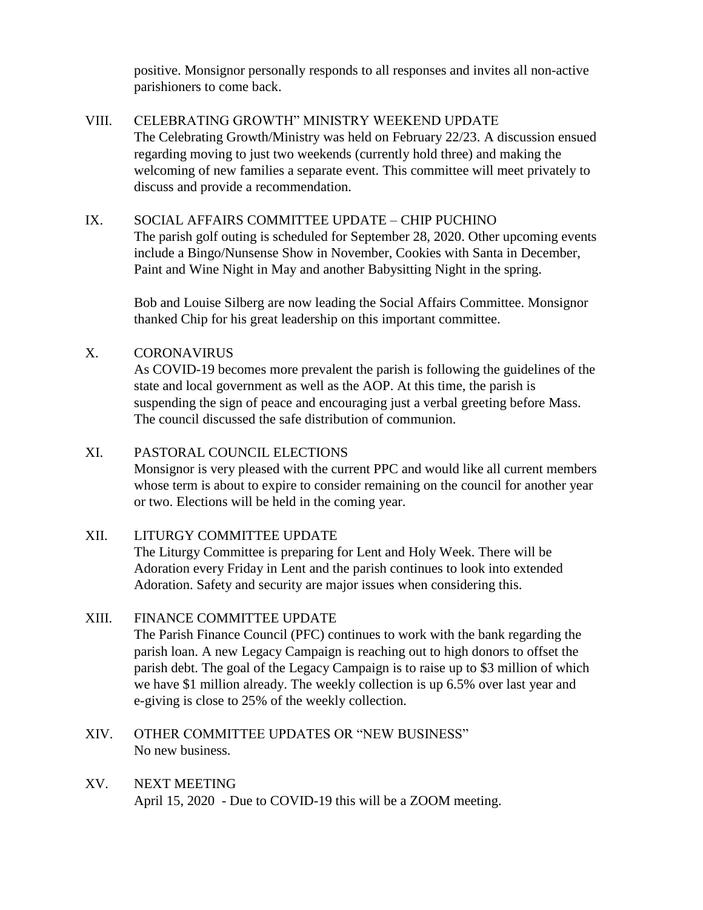positive. Monsignor personally responds to all responses and invites all non-active parishioners to come back.

# VIII. CELEBRATING GROWTH" MINISTRY WEEKEND UPDATE

The Celebrating Growth/Ministry was held on February 22/23. A discussion ensued regarding moving to just two weekends (currently hold three) and making the welcoming of new families a separate event. This committee will meet privately to discuss and provide a recommendation.

# IX. SOCIAL AFFAIRS COMMITTEE UPDATE – CHIP PUCHINO

The parish golf outing is scheduled for September 28, 2020. Other upcoming events include a Bingo/Nunsense Show in November, Cookies with Santa in December, Paint and Wine Night in May and another Babysitting Night in the spring.

Bob and Louise Silberg are now leading the Social Affairs Committee. Monsignor thanked Chip for his great leadership on this important committee.

# X. CORONAVIRUS

As COVID-19 becomes more prevalent the parish is following the guidelines of the state and local government as well as the AOP. At this time, the parish is suspending the sign of peace and encouraging just a verbal greeting before Mass. The council discussed the safe distribution of communion.

# XI. PASTORAL COUNCIL ELECTIONS

Monsignor is very pleased with the current PPC and would like all current members whose term is about to expire to consider remaining on the council for another year or two. Elections will be held in the coming year.

### XII. LITURGY COMMITTEE UPDATE

The Liturgy Committee is preparing for Lent and Holy Week. There will be Adoration every Friday in Lent and the parish continues to look into extended Adoration. Safety and security are major issues when considering this.

### XIII. FINANCE COMMITTEE UPDATE

The Parish Finance Council (PFC) continues to work with the bank regarding the parish loan. A new Legacy Campaign is reaching out to high donors to offset the parish debt. The goal of the Legacy Campaign is to raise up to \$3 million of which we have \$1 million already. The weekly collection is up 6.5% over last year and e-giving is close to 25% of the weekly collection.

# XIV. OTHER COMMITTEE UPDATES OR "NEW BUSINESS" No new business.

### XV. NEXT MEETING

April 15, 2020 - Due to COVID-19 this will be a ZOOM meeting.